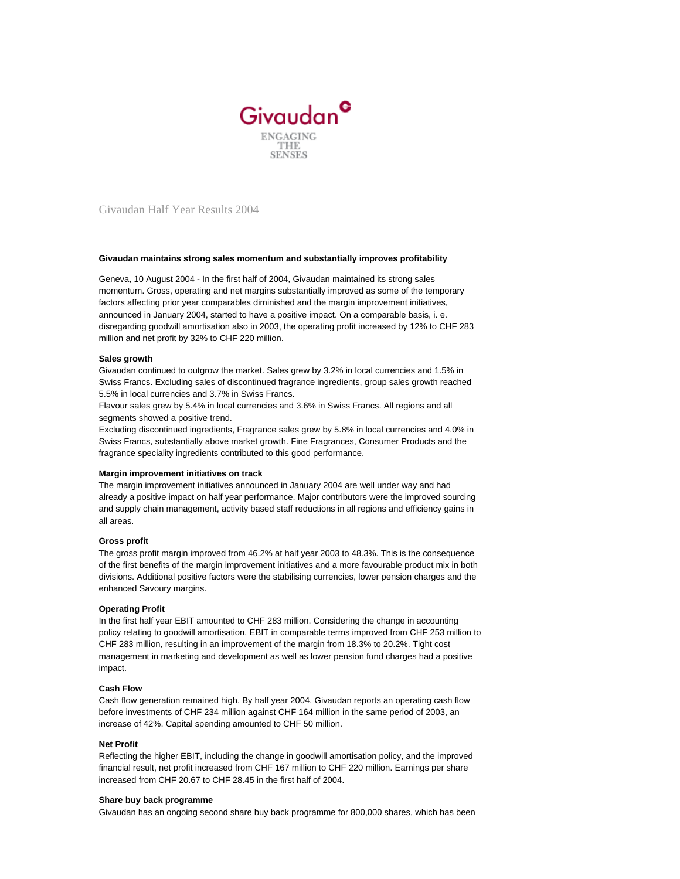

Givaudan Half Year Results 2004

## **Givaudan maintains strong sales momentum and substantially improves profitability**

Geneva, 10 August 2004 - In the first half of 2004, Givaudan maintained its strong sales momentum. Gross, operating and net margins substantially improved as some of the temporary factors affecting prior year comparables diminished and the margin improvement initiatives, announced in January 2004, started to have a positive impact. On a comparable basis, i. e. disregarding goodwill amortisation also in 2003, the operating profit increased by 12% to CHF 283 million and net profit by 32% to CHF 220 million.

## **Sales growth**

Givaudan continued to outgrow the market. Sales grew by 3.2% in local currencies and 1.5% in Swiss Francs. Excluding sales of discontinued fragrance ingredients, group sales growth reached 5.5% in local currencies and 3.7% in Swiss Francs.

Flavour sales grew by 5.4% in local currencies and 3.6% in Swiss Francs. All regions and all segments showed a positive trend.

Excluding discontinued ingredients, Fragrance sales grew by 5.8% in local currencies and 4.0% in Swiss Francs, substantially above market growth. Fine Fragrances, Consumer Products and the fragrance speciality ingredients contributed to this good performance.

## **Margin improvement initiatives on track**

The margin improvement initiatives announced in January 2004 are well under way and had already a positive impact on half year performance. Major contributors were the improved sourcing and supply chain management, activity based staff reductions in all regions and efficiency gains in all areas.

## **Gross profit**

The gross profit margin improved from 46.2% at half year 2003 to 48.3%. This is the consequence of the first benefits of the margin improvement initiatives and a more favourable product mix in both divisions. Additional positive factors were the stabilising currencies, lower pension charges and the enhanced Savoury margins.

## **Operating Profit**

In the first half year EBIT amounted to CHF 283 million. Considering the change in accounting policy relating to goodwill amortisation, EBIT in comparable terms improved from CHF 253 million to CHF 283 million, resulting in an improvement of the margin from 18.3% to 20.2%. Tight cost management in marketing and development as well as lower pension fund charges had a positive impact.

## **Cash Flow**

Cash flow generation remained high. By half year 2004, Givaudan reports an operating cash flow before investments of CHF 234 million against CHF 164 million in the same period of 2003, an increase of 42%. Capital spending amounted to CHF 50 million.

## **Net Profit**

Reflecting the higher EBIT, including the change in goodwill amortisation policy, and the improved financial result, net profit increased from CHF 167 million to CHF 220 million. Earnings per share increased from CHF 20.67 to CHF 28.45 in the first half of 2004.

## **Share buy back programme**

Givaudan has an ongoing second share buy back programme for 800,000 shares, which has been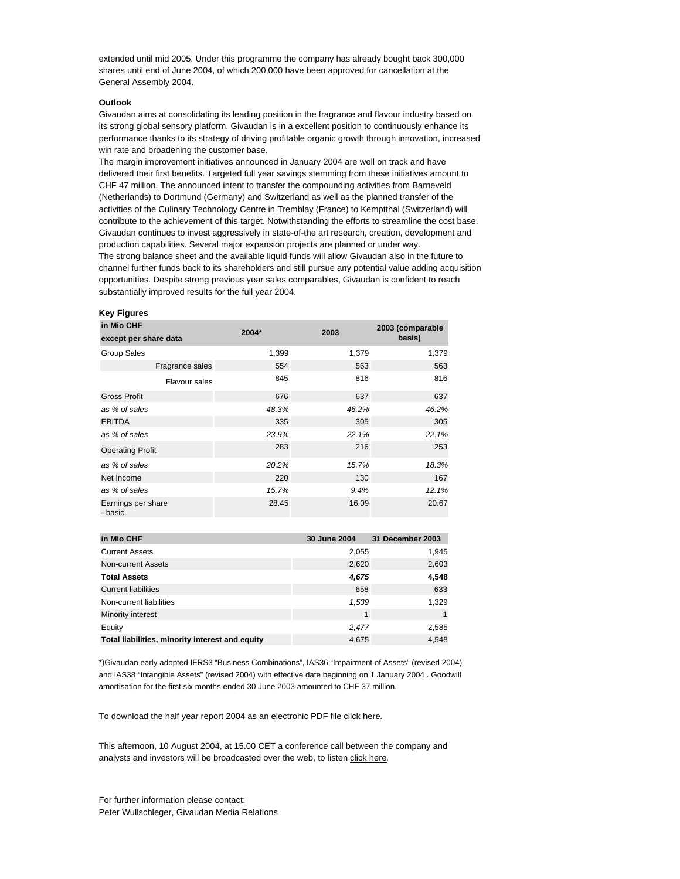extended until mid 2005. Under this programme the company has already bought back 300,000 shares until end of June 2004, of which 200,000 have been approved for cancellation at the General Assembly 2004.

## **Outlook**

Givaudan aims at consolidating its leading position in the fragrance and flavour industry based on its strong global sensory platform. Givaudan is in a excellent position to continuously enhance its performance thanks to its strategy of driving profitable organic growth through innovation, increased win rate and broadening the customer base.

The margin improvement initiatives announced in January 2004 are well on track and have delivered their first benefits. Targeted full year savings stemming from these initiatives amount to CHF 47 million. The announced intent to transfer the compounding activities from Barneveld (Netherlands) to Dortmund (Germany) and Switzerland as well as the planned transfer of the activities of the Culinary Technology Centre in Tremblay (France) to Kemptthal (Switzerland) will contribute to the achievement of this target. Notwithstanding the efforts to streamline the cost base, Givaudan continues to invest aggressively in state-of-the art research, creation, development and production capabilities. Several major expansion projects are planned or under way. The strong balance sheet and the available liquid funds will allow Givaudan also in the future to channel further funds back to its shareholders and still pursue any potential value adding acquisition opportunities. Despite strong previous year sales comparables, Givaudan is confident to reach

substantially improved results for the full year 2004.

# **Key Figures**

| in Mio CHF<br>except per share data | 2004* | 2003  | 2003 (comparable<br>basis) |
|-------------------------------------|-------|-------|----------------------------|
| <b>Group Sales</b>                  | 1,399 | 1,379 | 1,379                      |
| Fragrance sales                     | 554   | 563   | 563                        |
| <b>Flavour sales</b>                | 845   | 816   | 816                        |
| <b>Gross Profit</b>                 | 676   | 637   | 637                        |
| as % of sales                       | 48.3% | 46.2% | 46.2%                      |
| <b>EBITDA</b>                       | 335   | 305   | 305                        |
| as % of sales                       | 23.9% | 22.1% | 22.1%                      |
| <b>Operating Profit</b>             | 283   | 216   | 253                        |
| as % of sales                       | 20.2% | 15.7% | 18.3%                      |
| Net Income                          | 220   | 130   | 167                        |
| as % of sales                       | 15.7% | 9.4%  | 12.1%                      |
| Earnings per share<br>- basic       | 28.45 | 16.09 | 20.67                      |

| in Mio CHF                                      | 30 June 2004 | 31 December 2003 |
|-------------------------------------------------|--------------|------------------|
| <b>Current Assets</b>                           | 2,055        | 1,945            |
| Non-current Assets                              | 2,620        | 2,603            |
| <b>Total Assets</b>                             | 4,675        | 4,548            |
| <b>Current liabilities</b>                      | 658          | 633              |
| Non-current liabilities                         | 1,539        | 1,329            |
| Minority interest                               | $\mathbf{1}$ |                  |
| Equity                                          | 2,477        | 2,585            |
| Total liabilities, minority interest and equity | 4,675        | 4,548            |

\*)Givaudan early adopted IFRS3 "Business Combinations", IAS36 "Impairment of Assets" (revised 2004) and IAS38 "Intangible Assets" (revised 2004) with effective date beginning on 1 January 2004 . Goodwill amortisation for the first six months ended 30 June 2003 amounted to CHF 37 million.

To download the half year report 2004 as an electronic PDF file [click here](http://gvecsx0400wpz.emea.givaudan.com:85/staticweb/StaticFiles/GivaudanCom/Publications/fin_pubs/hy_report/2004/hy-en-2004.pdf).

This afternoon, 10 August 2004, at 15.00 CET a conference call between the company and analysts and investors will be broadcasted over the web, to listen [click here](http://gvecsx0400wpz.emea.givaudan.com:85/webcom/v/replay_webcast_hy2004-D715?opendocument).

For further information please contact: Peter Wullschleger, Givaudan Media Relations